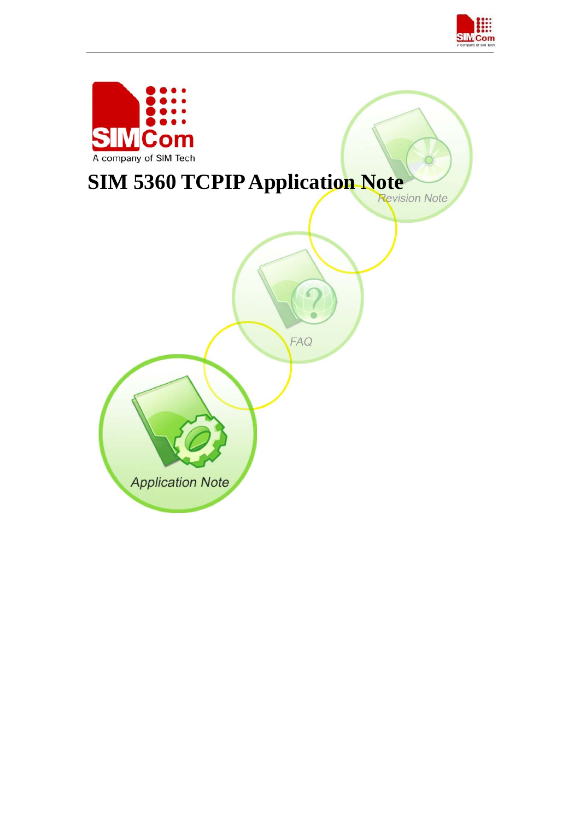

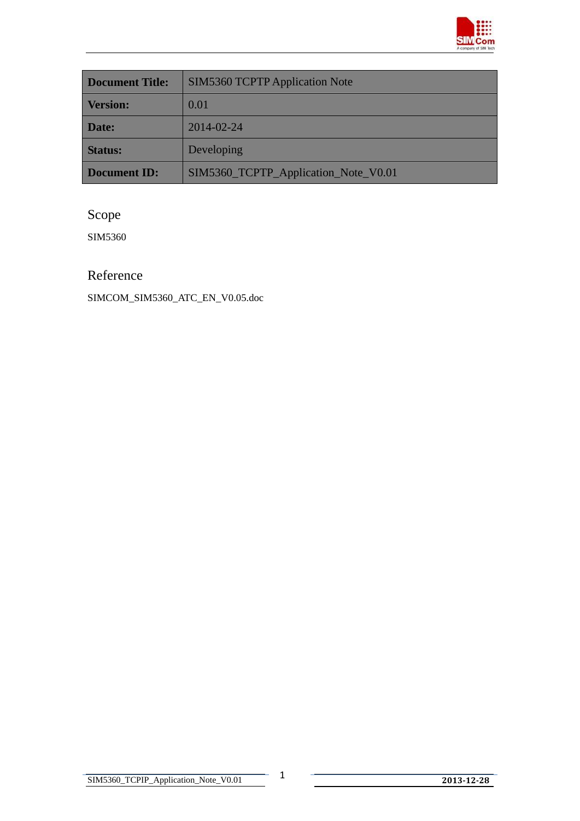

| <b>Document Title:</b> | <b>SIM5360 TCPTP Application Note</b> |  |
|------------------------|---------------------------------------|--|
| <b>Version:</b>        | 0.01                                  |  |
| Date:                  | 2014-02-24                            |  |
| <b>Status:</b>         | Developing                            |  |
| <b>Document ID:</b>    | SIM5360_TCPTP_Application_Note_V0.01  |  |

## Scope

SIM5360

### Reference

SIMCOM\_SIM5360\_ATC\_EN\_V0.05.doc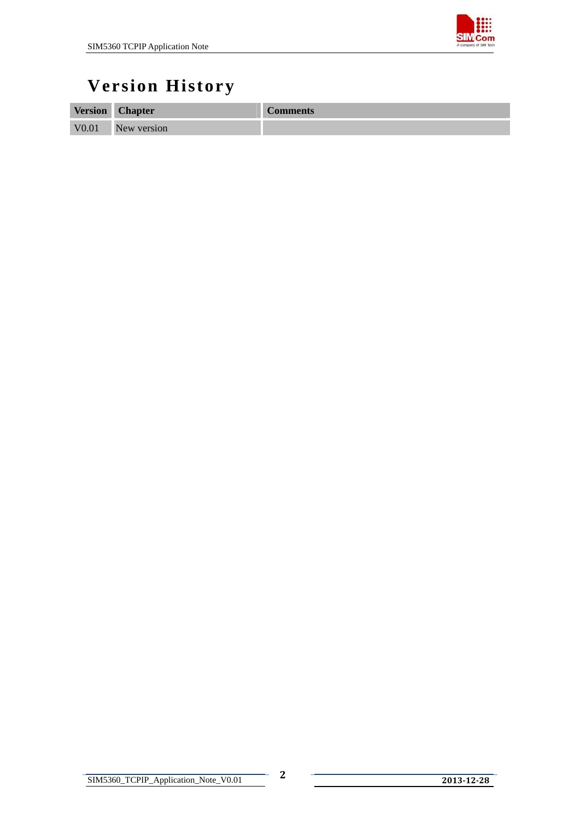

# **Version History**

| <b>Version</b>    | <b>Chapter</b> | <b>Comments</b> |
|-------------------|----------------|-----------------|
| V <sub>0.01</sub> | New version    |                 |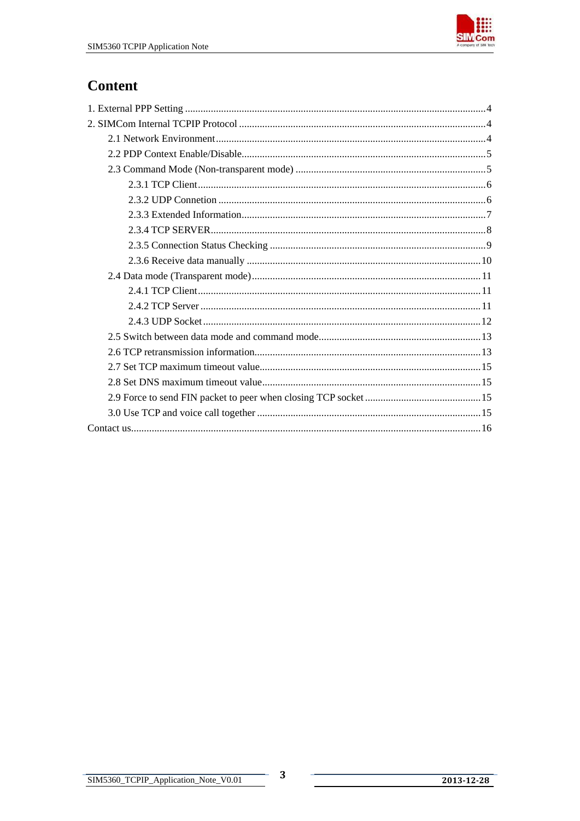

## **Content**

 $\mathbf{3}$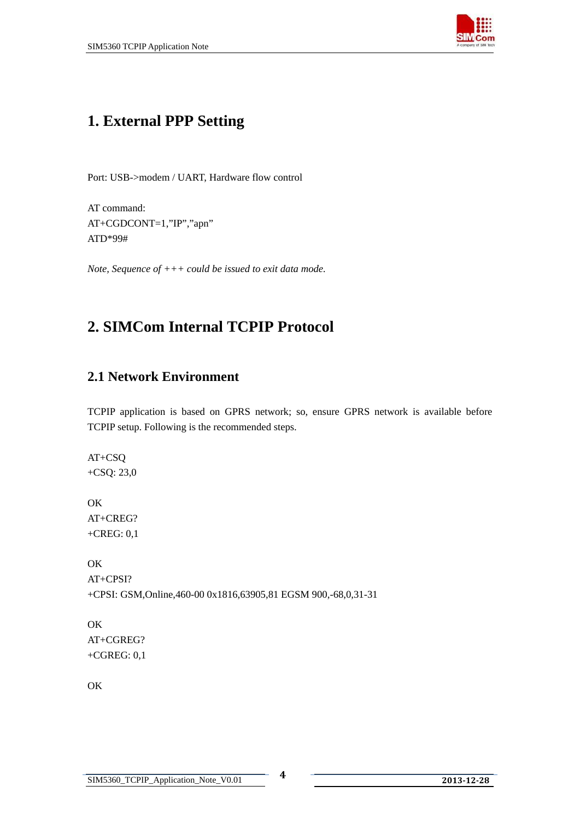

## <span id="page-4-0"></span>**1. External PPP Setting**

Port: USB->modem / UART, Hardware flow control

AT command: AT+CGDCONT=1,"IP","apn" ATD\*99#

*Note, Sequence of +++ could be issued to exit data mode.* 

## **2. SIMCom Internal TCPIP Protocol**

### **2.1 Network Environment**

TCPIP application is based on GPRS network; so, ensure GPRS network is available before TCPIP setup. Following is the recommended steps.

AT+CSQ +CSQ: 23,0

OK AT+CREG? +CREG: 0,1

OK AT+CPSI? +CPSI: GSM,Online,460-00 0x1816,63905,81 EGSM 900,-68,0,31-31

OK AT+CGREG? +CGREG: 0,1

OK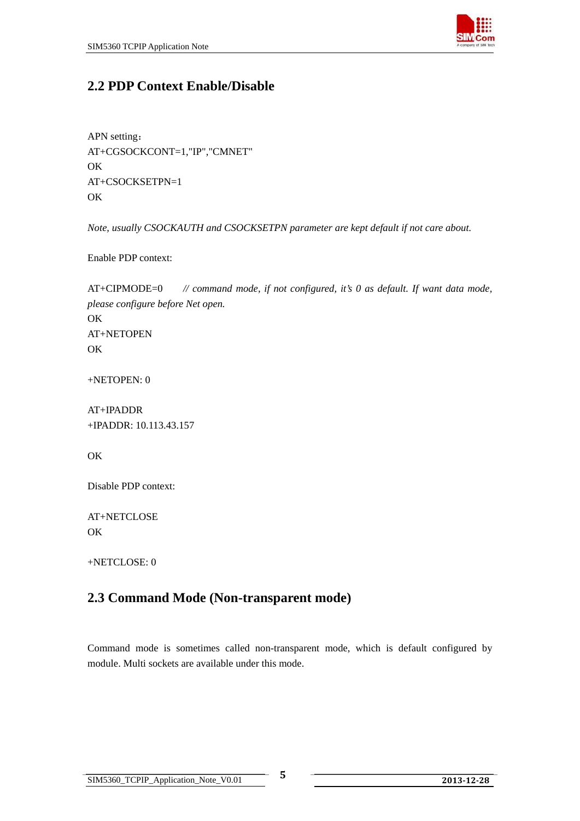

### <span id="page-5-0"></span>**2.2 PDP Context Enable/Disable**

APN setting: AT+CGSOCKCONT=1,"IP","CMNET" OK AT+CSOCKSETPN=1 **OK** 

*Note, usually CSOCKAUTH and CSOCKSETPN parameter are kept default if not care about.* 

Enable PDP context:

AT+CIPMODE=0 *// command mode, if not configured, it's 0 as default. If want data mode, please configure before Net open.* OK AT+NETOPEN OK

+NETOPEN: 0

AT+IPADDR +IPADDR: 10.113.43.157

OK

Disable PDP context:

AT+NETCLOSE **OK** 

+NETCLOSE: 0

### **2.3 Command Mode (Non-transparent mode)**

Command mode is sometimes called non-transparent mode, which is default configured by module. Multi sockets are available under this mode.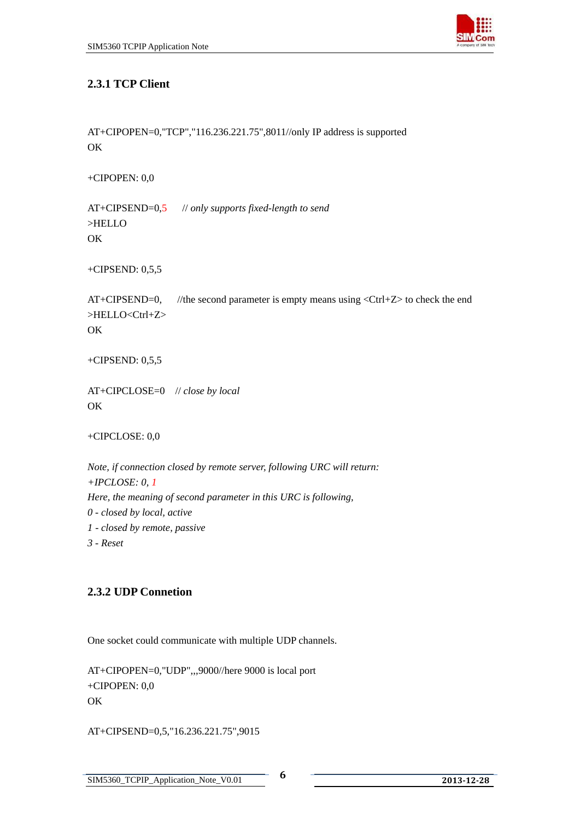

#### <span id="page-6-0"></span>**2.3.1 TCP Client**

```
AT+CIPOPEN=0,"TCP","116.236.221.75",8011//only IP address is supported 
OK
```
+CIPOPEN: 0,0

AT+CIPSEND=0,5 // *only supports fixed-length to send*  >HELLO OK

+CIPSEND: 0,5,5

AT+CIPSEND=0, //the second parameter is empty means using  $\langle$ Ctrl+Z $>$  to check the end >HELLO<Ctrl+Z> OK

+CIPSEND: 0,5,5

AT+CIPCLOSE=0 // *close by local*  OK

+CIPCLOSE: 0,0

*Note, if connection closed by remote server, following URC will return: +IPCLOSE: 0, 1 Here, the meaning of second parameter in this URC is following, 0 - closed by local, active 1 - closed by remote, passive 3 - Reset* 

#### **2.3.2 UDP Connetion**

One socket could communicate with multiple UDP channels.

AT+CIPOPEN=0,"UDP",,,9000//here 9000 is local port +CIPOPEN: 0,0 **OK** 

AT+CIPSEND=0,5,"16.236.221.75",9015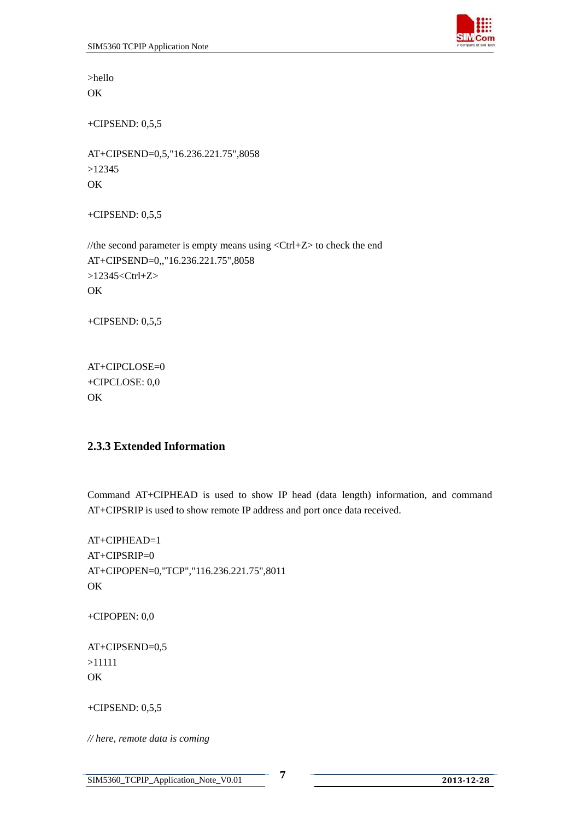

<span id="page-7-0"></span>>hello **OK** 

+CIPSEND: 0,5,5

AT+CIPSEND=0,5,"16.236.221.75",8058 >12345 OK

+CIPSEND: 0,5,5

//the second parameter is empty means using  $\langle$ Ctrl+Z $>$  to check the end AT+CIPSEND=0,,"16.236.221.75",8058 >12345<Ctrl+Z> OK

+CIPSEND: 0,5,5

AT+CIPCLOSE=0 +CIPCLOSE: 0,0 OK

#### **2.3.3 Extended Information**

Command AT+CIPHEAD is used to show IP head (data length) information, and command AT+CIPSRIP is used to show remote IP address and port once data received.

 $AT+CIPHEAD=1$ AT+CIPSRIP=0 AT+CIPOPEN=0,"TCP","116.236.221.75",8011 OK

+CIPOPEN: 0,0

AT+CIPSEND=0,5 >11111 OK

+CIPSEND: 0,5,5

*// here, remote data is coming*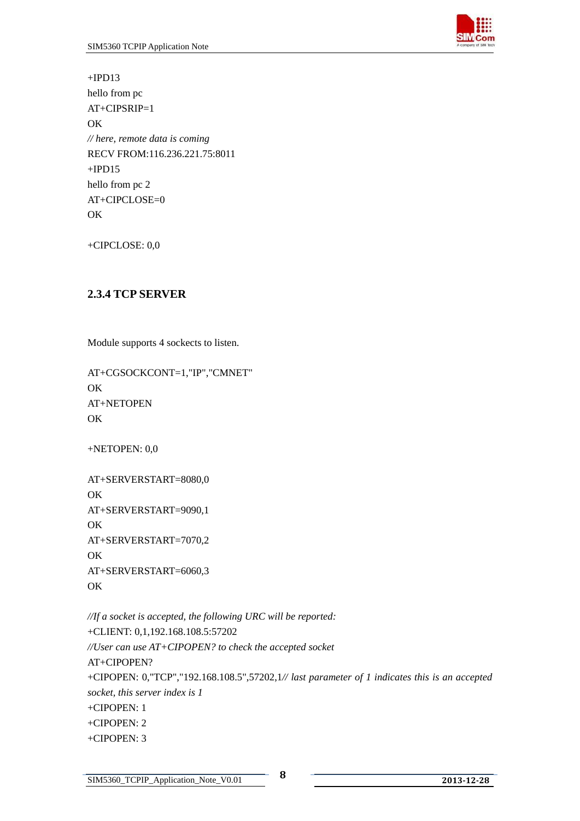

<span id="page-8-0"></span> $+IPD13$ hello from pc AT+CIPSRIP=1 OK *// here, remote data is coming*  RECV FROM:116.236.221.75:8011  $+IPD15$ hello from pc 2 AT+CIPCLOSE=0 OK

+CIPCLOSE: 0,0

#### **2.3.4 TCP SERVER**

Module supports 4 sockects to listen.

AT+CGSOCKCONT=1,"IP","CMNET" OK AT+NETOPEN OK

+NETOPEN: 0,0

AT+SERVERSTART=8080,0 OK AT+SERVERSTART=9090,1 OK AT+SERVERSTART=7070,2 OK AT+SERVERSTART=6060,3 **OK** 

*//If a socket is accepted, the following URC will be reported:*  +CLIENT: 0,1,192.168.108.5:57202 *//User can use AT+CIPOPEN? to check the accepted socket*  AT+CIPOPEN? +CIPOPEN: 0,"TCP","192.168.108.5",57202,1*// last parameter of 1 indicates this is an accepted socket, this server index is 1*  +CIPOPEN: 1 +CIPOPEN: 2 +CIPOPEN: 3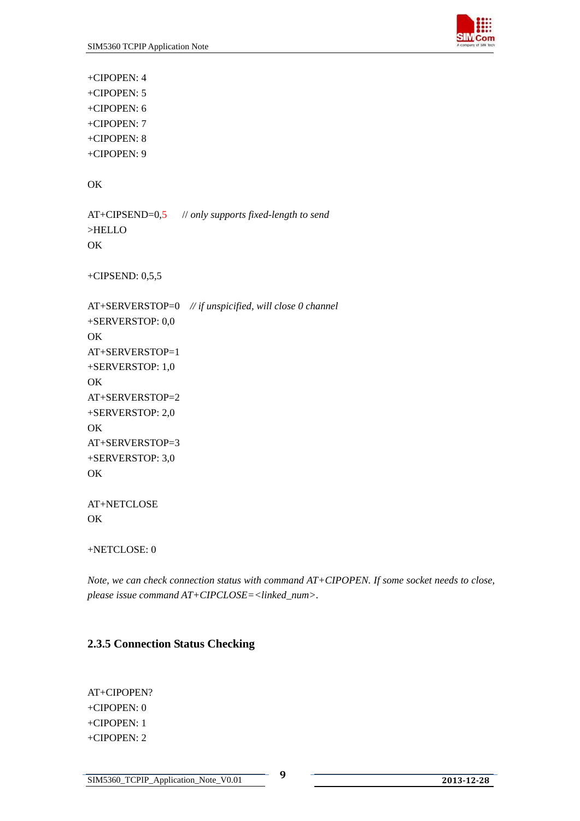

<span id="page-9-0"></span>+CIPOPEN: 4 +CIPOPEN: 5 +CIPOPEN: 6 +CIPOPEN: 7 +CIPOPEN: 8 +CIPOPEN: 9

OK

AT+CIPSEND=0,5 // *only supports fixed-length to send*  >HELLO **OK** 

+CIPSEND: 0,5,5

AT+SERVERSTOP=0 *// if unspicified, will close 0 channel*  +SERVERSTOP: 0,0 OK AT+SERVERSTOP=1 +SERVERSTOP: 1,0 OK AT+SERVERSTOP=2 +SERVERSTOP: 2,0 OK AT+SERVERSTOP=3 +SERVERSTOP: 3,0 OK

AT+NETCLOSE OK

+NETCLOSE: 0

*Note, we can check connection status with command AT+CIPOPEN. If some socket needs to close, please issue command AT+CIPCLOSE=<linked\_num>.* 

#### **2.3.5 Connection Status Checking**

AT+CIPOPEN? +CIPOPEN: 0 +CIPOPEN: 1 +CIPOPEN: 2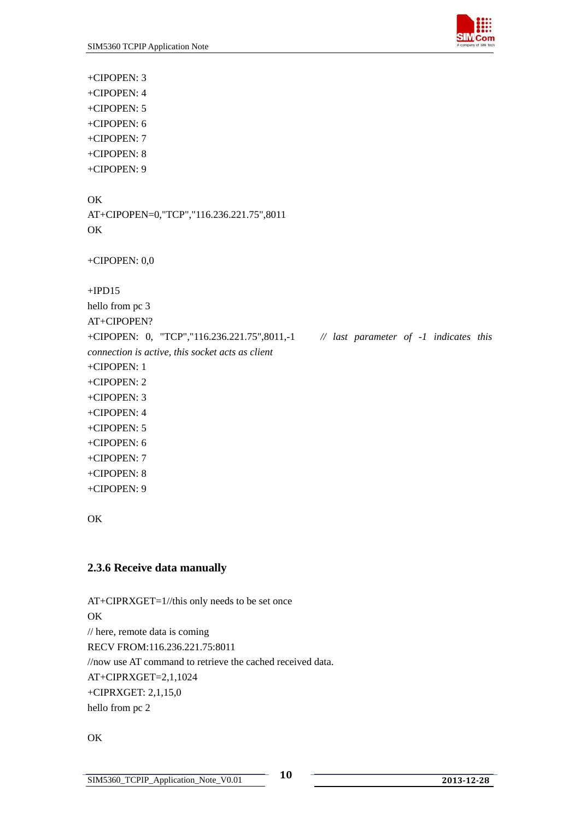

<span id="page-10-0"></span>+CIPOPEN: 3 +CIPOPEN: 4 +CIPOPEN: 5 +CIPOPEN: 6 +CIPOPEN: 7 +CIPOPEN: 8 +CIPOPEN: 9

#### OK

AT+CIPOPEN=0,"TCP","116.236.221.75",8011 **OK** 

+CIPOPEN: 0,0

 $+IPD15$ 

hello from pc 3 AT+CIPOPEN? +CIPOPEN: 0, "TCP","116.236.221.75",8011,-1 *// last parameter of -1 indicates this connection is active, this socket acts as client*  +CIPOPEN: 1 +CIPOPEN: 2 +CIPOPEN: 3 +CIPOPEN: 4 +CIPOPEN: 5 +CIPOPEN: 6 +CIPOPEN: 7 +CIPOPEN: 8 +CIPOPEN: 9

OK

#### **2.3.6 Receive data manually**

AT+CIPRXGET=1//this only needs to be set once OK // here, remote data is coming RECV FROM:116.236.221.75:8011 //now use AT command to retrieve the cached received data. AT+CIPRXGET=2,1,1024 +CIPRXGET: 2,1,15,0 hello from pc 2

OK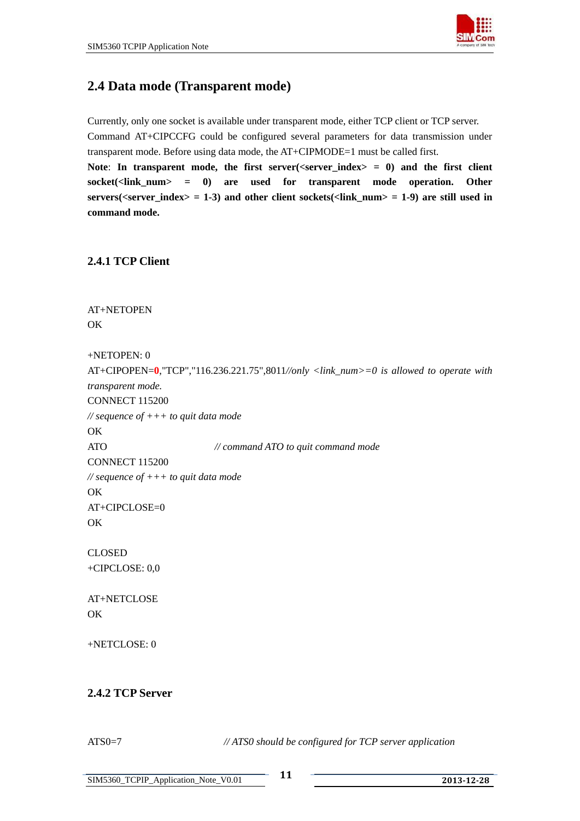

### <span id="page-11-0"></span>**2.4 Data mode (Transparent mode)**

Currently, only one socket is available under transparent mode, either TCP client or TCP server. Command AT+CIPCCFG could be configured several parameters for data transmission under transparent mode. Before using data mode, the AT+CIPMODE=1 must be called first. Note: In transparent mode, the first server( $\langle$ server index $\rangle = 0$ ) and the first client **socket(<link\_num> = 0) are used for transparent mode operation. Other servers(<server\_index> = 1-3) and other client sockets(<link\_num> = 1-9) are still used in command mode.**

#### **2.4.1 TCP Client**

AT+NETOPEN OK

+NETOPEN: 0

```
AT+CIPOPEN=0,"TCP","116.236.221.75",8011//only <link_num>=0 is allowed to operate with 
transparent mode.
CONNECT 115200 
// sequence of +++ to quit data mode 
OK 
ATO // command ATO to quit command mode
CONNECT 115200 
// sequence of +++ to quit data mode 
OK 
AT+CIPCLOSE=0 
OK 
CLOSED 
+CIPCLOSE: 0,0 
AT+NETCLOSE 
OK
+NETCLOSE: 0 
2.4.2 TCP Server
```
ATS0=7 *// ATS0 should be configured for TCP server application*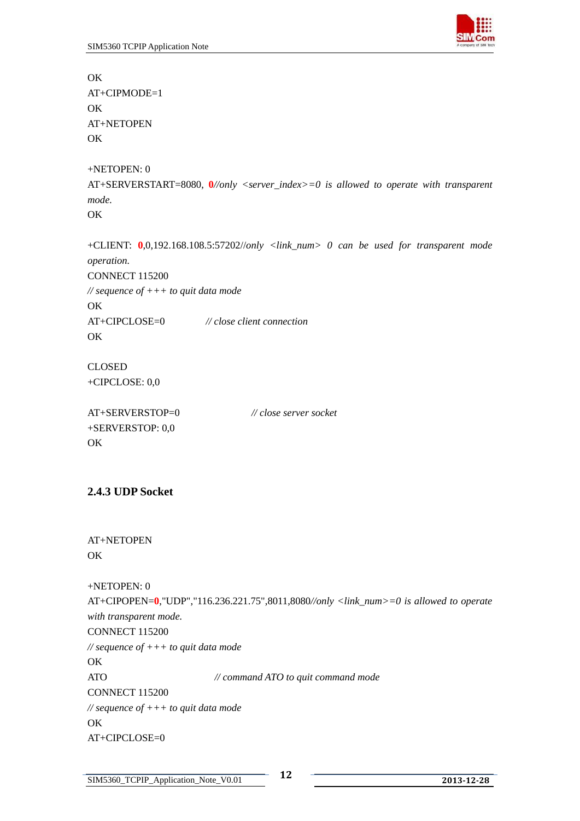<span id="page-12-0"></span>**OK** AT+CIPMODE=1 OK AT+NETOPEN OK +NETOPEN: 0 AT+SERVERSTART=8080, **0***//only <server\_index>=0 is allowed to operate with transparent mode.* OK +CLIENT: **0**,0,192.168.108.5:57202//*only <link\_num> 0 can be used for transparent mode operation.*  CONNECT 115200 *// sequence of +++ to quit data mode*  OK AT+CIPCLOSE=0 *// close client connection*  OK CLOSED +CIPCLOSE: 0,0 AT+SERVERSTOP=0 *// close server socket* +SERVERSTOP: 0,0

#### **2.4.3 UDP Socket**

OK

OK

```
AT+NETOPEN 
OK
```
+NETOPEN: 0 AT+CIPOPEN=**0**,"UDP","116.236.221.75",8011,8080*//only <link\_num>=0 is allowed to operate with transparent mode.* CONNECT 115200 *// sequence of +++ to quit data mode* 

ATO *// command ATO to quit command mode* CONNECT 115200 *// sequence of +++ to quit data mode*  OK AT+CIPCLOSE=0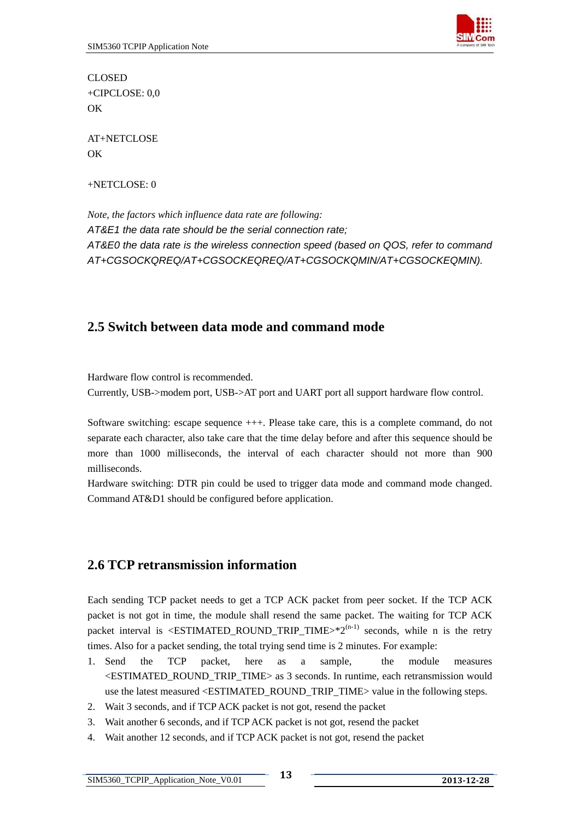

<span id="page-13-0"></span>CLOSED +CIPCLOSE: 0,0 **OK** 

AT+NETCLOSE **OK** 

+NETCLOSE: 0

*Note, the factors which influence data rate are following: AT&E1 the data rate should be the serial connection rate; AT&E0 the data rate is the wireless connection speed (based on QOS, refer to command AT+CGSOCKQREQ/AT+CGSOCKEQREQ/AT+CGSOCKQMIN/AT+CGSOCKEQMIN).* 

### **2.5 Switch between data mode and command mode**

Hardware flow control is recommended. Currently, USB->modem port, USB->AT port and UART port all support hardware flow control.

Software switching: escape sequence +++. Please take care, this is a complete command, do not separate each character, also take care that the time delay before and after this sequence should be more than 1000 milliseconds, the interval of each character should not more than 900 milliseconds.

Hardware switching: DTR pin could be used to trigger data mode and command mode changed. Command AT&D1 should be configured before application.

### **2.6 TCP retransmission information**

Each sending TCP packet needs to get a TCP ACK packet from peer socket. If the TCP ACK packet is not got in time, the module shall resend the same packet. The waiting for TCP ACK packet interval is <**ESTIMATED\_ROUND\_TRIP\_TIME**> $*2^{(n-1)}$  seconds, while n is the retry times. Also for a packet sending, the total trying send time is 2 minutes. For example:

- 1. Send the TCP packet, here as a sample, the module measures <ESTIMATED\_ROUND\_TRIP\_TIME> as 3 seconds. In runtime, each retransmission would use the latest measured <ESTIMATED\_ROUND\_TRIP\_TIME> value in the following steps.
- 2. Wait 3 seconds, and if TCP ACK packet is not got, resend the packet
- 3. Wait another 6 seconds, and if TCP ACK packet is not got, resend the packet
- 4. Wait another 12 seconds, and if TCP ACK packet is not got, resend the packet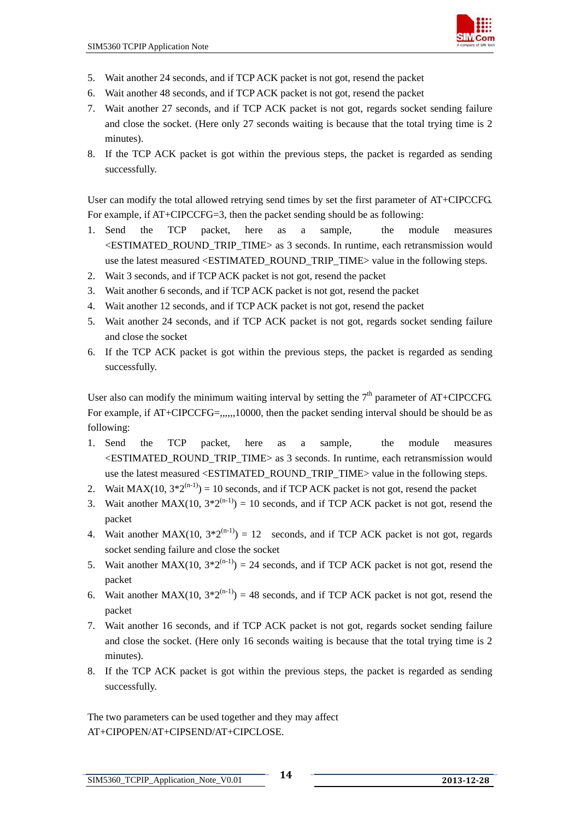

- 5. Wait another 24 seconds, and if TCP ACK packet is not got, resend the packet
- 6. Wait another 48 seconds, and if TCP ACK packet is not got, resend the packet
- 7. Wait another 27 seconds, and if TCP ACK packet is not got, regards socket sending failure and close the socket. (Here only 27 seconds waiting is because that the total trying time is 2 minutes).
- 8. If the TCP ACK packet is got within the previous steps, the packet is regarded as sending successfully.

User can modify the total allowed retrying send times by set the first parameter of AT+CIPCCFG. For example, if AT+CIPCCFG=3, then the packet sending should be as following:

- 1. Send the TCP packet, here as a sample, the module measures <ESTIMATED\_ROUND\_TRIP\_TIME> as 3 seconds. In runtime, each retransmission would use the latest measured <ESTIMATED\_ROUND\_TRIP\_TIME> value in the following steps.
- 2. Wait 3 seconds, and if TCP ACK packet is not got, resend the packet
- 3. Wait another 6 seconds, and if TCP ACK packet is not got, resend the packet
- 4. Wait another 12 seconds, and if TCP ACK packet is not got, resend the packet
- 5. Wait another 24 seconds, and if TCP ACK packet is not got, regards socket sending failure and close the socket
- 6. If the TCP ACK packet is got within the previous steps, the packet is regarded as sending successfully.

User also can modify the minimum waiting interval by setting the  $7<sup>th</sup>$  parameter of AT+CIPCCFG. For example, if AT+CIPCCFG=,,,,,,10000, then the packet sending interval should be should be as following:

- 1. Send the TCP packet, here as a sample, the module measures <ESTIMATED\_ROUND\_TRIP\_TIME> as 3 seconds. In runtime, each retransmission would use the latest measured <ESTIMATED\_ROUND\_TRIP\_TIME> value in the following steps.
- 2. Wait MAX(10,  $3*2^{(n-1)}$ ) = 10 seconds, and if TCP ACK packet is not got, resend the packet
- 3. Wait another MAX(10,  $3*2^{(n-1)}$ ) = 10 seconds, and if TCP ACK packet is not got, resend the packet
- 4. Wait another MAX(10,  $3*2^{(n-1)}$ ) = 12 seconds, and if TCP ACK packet is not got, regards socket sending failure and close the socket
- 5. Wait another MAX(10,  $3*2^{(n-1)}$ ) = 24 seconds, and if TCP ACK packet is not got, resend the packet
- 6. Wait another MAX(10,  $3*2^{(n-1)}$ ) = 48 seconds, and if TCP ACK packet is not got, resend the packet
- 7. Wait another 16 seconds, and if TCP ACK packet is not got, regards socket sending failure and close the socket. (Here only 16 seconds waiting is because that the total trying time is 2 minutes).
- 8. If the TCP ACK packet is got within the previous steps, the packet is regarded as sending successfully.

The two parameters can be used together and they may affect AT+CIPOPEN/AT+CIPSEND/AT+CIPCLOSE.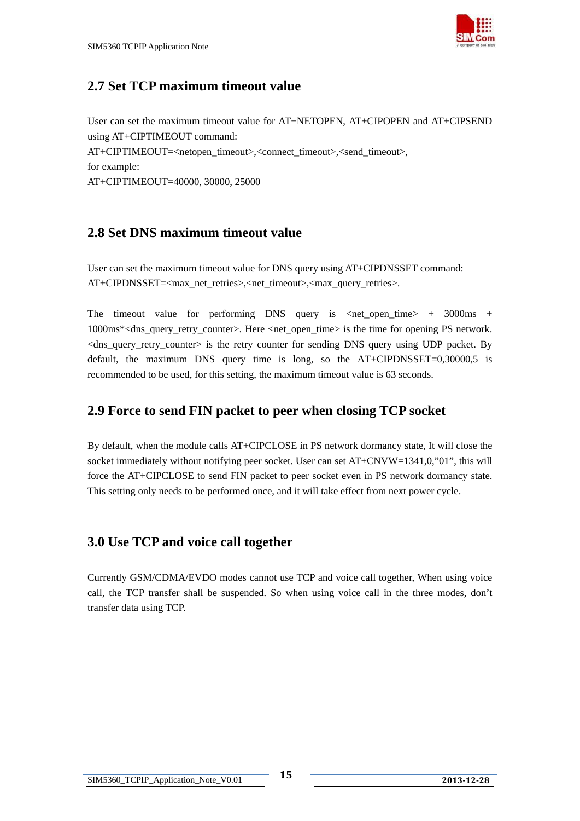

### <span id="page-15-0"></span>**2.7 Set TCP maximum timeout value**

User can set the maximum timeout value for AT+NETOPEN, AT+CIPOPEN and AT+CIPSEND using AT+CIPTIMEOUT command: AT+CIPTIMEOUT=<netopen\_timeout>,<connect\_timeout>,<send\_timeout>, for example: AT+CIPTIMEOUT=40000, 30000, 25000

### **2.8 Set DNS maximum timeout value**

User can set the maximum timeout value for DNS query using AT+CIPDNSSET command: AT+CIPDNSSET=<max\_net\_retries>,<net\_timeout>,<max\_query\_retries>.

The timeout value for performing DNS query is  $\langle net\_open\_time \rangle$  + 3000ms + 1000ms\*<dns\_query\_retry\_counter>. Here <net\_open\_time> is the time for opening PS network. <dns\_query\_retry\_counter> is the retry counter for sending DNS query using UDP packet. By default, the maximum DNS query time is long, so the AT+CIPDNSSET=0,30000,5 is recommended to be used, for this setting, the maximum timeout value is 63 seconds.

### **2.9 Force to send FIN packet to peer when closing TCP socket**

By default, when the module calls AT+CIPCLOSE in PS network dormancy state, It will close the socket immediately without notifying peer socket. User can set AT+CNVW=1341,0,"01", this will force the AT+CIPCLOSE to send FIN packet to peer socket even in PS network dormancy state. This setting only needs to be performed once, and it will take effect from next power cycle.

### **3.0 Use TCP and voice call together**

Currently GSM/CDMA/EVDO modes cannot use TCP and voice call together, When using voice call, the TCP transfer shall be suspended. So when using voice call in the three modes, don't transfer data using TCP.